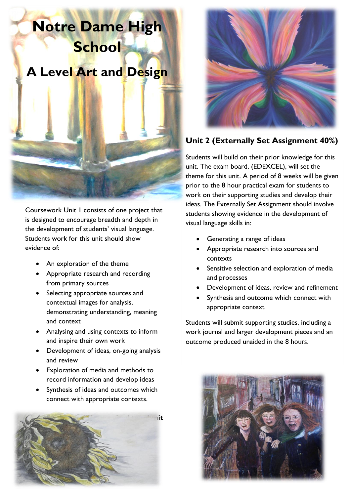# **Notre Dame High School A Level Art and Design**



Coursework Unit 1 consists of one project that is designed to encourage breadth and depth in the development of students' visual language. Students work for this unit should show evidence of:

- An exploration of the theme
- Appropriate research and recording from primary sources
- Selecting appropriate sources and contextual images for analysis, demonstrating understanding, meaning and context
- Analysing and using contexts to inform and inspire their own work
- Development of ideas, on-going analysis and review
- Exploration of media and methods to record information and develop ideas
- Synthesis of ideas and outcomes which connect with appropriate contexts.





# **Unit 2 (Externally Set Assignment 40%)**

Students will build on their prior knowledge for this unit. The exam board, (EDEXCEL), will set the theme for this unit. A period of 8 weeks will be given prior to the 8 hour practical exam for students to work on their supporting studies and develop their ideas. The Externally Set Assignment should involve students showing evidence in the development of visual language skills in:

- Generating a range of ideas
- Appropriate research into sources and contexts
- Sensitive selection and exploration of media and processes
- Development of ideas, review and refinement
- Synthesis and outcome which connect with appropriate context

Students will submit supporting studies, including a work journal and larger development pieces and an outcome produced unaided in the 8 hours.